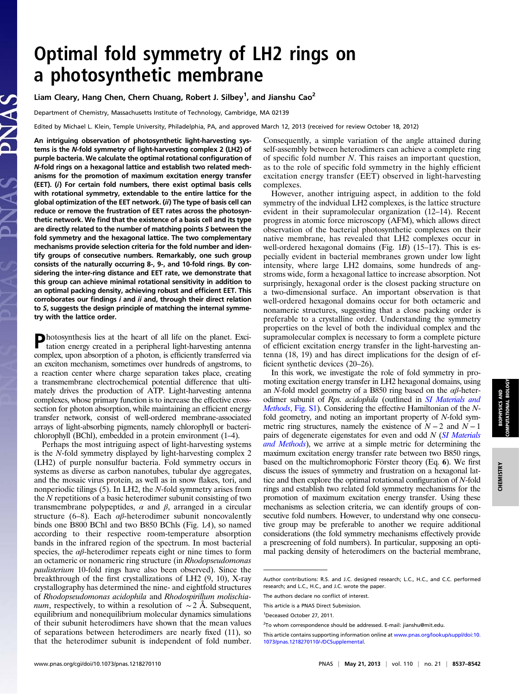# Optimal fold symmetry of LH2 rings on a photosynthetic membrane

## Liam Cleary, Hang Chen, Chern Chuang, Robert J. Silbey<sup>1</sup>, and Jianshu Cao<sup>2</sup>

Department of Chemistry, Massachusetts Institute of Technology, Cambridge, MA 02139

Edited by Michael L. Klein, Temple University, Philadelphia, PA, and approved March 12, 2013 (received for review October 18, 2012)

An intriguing observation of photosynthetic light-harvesting systems is the N-fold symmetry of light-harvesting complex 2 (LH2) of purple bacteria. We calculate the optimal rotational configuration of N-fold rings on a hexagonal lattice and establish two related mechanisms for the promotion of maximum excitation energy transfer (EET). (i) For certain fold numbers, there exist optimal basis cells with rotational symmetry, extendable to the entire lattice for the global optimization of the EET network. (ii) The type of basis cell can reduce or remove the frustration of EET rates across the photosynthetic network. We find that the existence of a basis cell and its type are directly related to the number of matching points S between the fold symmetry and the hexagonal lattice. The two complementary mechanisms provide selection criteria for the fold number and identify groups of consecutive numbers. Remarkably, one such group consists of the naturally occurring 8-, 9-, and 10-fold rings. By considering the inter-ring distance and EET rate, we demonstrate that this group can achieve minimal rotational sensitivity in addition to an optimal packing density, achieving robust and efficient EET. This corroborates our findings i and ii and, through their direct relation to S, suggests the design principle of matching the internal symmetry with the lattice order.

Photosynthesis lies at the heart of all life on the planet. Exci-tation energy created in a peripheral light-harvesting antenna complex, upon absorption of a photon, is efficiently transferred via an exciton mechanism, sometimes over hundreds of angstroms, to a reaction center where charge separation takes place, creating a transmembrane electrochemical potential difference that ultimately drives the production of ATP. Light-harvesting antenna complexes, whose primary function is to increase the effective crosssection for photon absorption, while maintaining an efficient energy transfer network, consist of well-ordered membrane-associated arrays of light-absorbing pigments, namely chlorophyll or bacterichlorophyll (BChl), embedded in a protein environment (1–4).

Perhaps the most intriguing aspect of light-harvesting systems is the N-fold symmetry displayed by light-harvesting complex 2 (LH2) of purple nonsulfur bacteria. Fold symmetry occurs in systems as diverse as carbon nanotubes, tubular dye aggregates, and the mosaic virus protein, as well as in snow flakes, tori, and nonperiodic tilings (5). In LH2, the N-fold symmetry arises from the N repetitions of a basic heterodimer subunit consisting of two transmembrane polypeptides,  $\alpha$  and  $\beta$ , arranged in a circular structure (6–8). Each  $\alpha\beta$ -heterodimer subunit noncovalently binds one B800 BChl and two B850 BChls (Fig. 1A), so named according to their respective room-temperature absorption bands in the infrared region of the spectrum. In most bacterial species, the  $\alpha\beta$ -heterodimer repeats eight or nine times to form an octameric or nonameric ring structure (in Rhodopseudomonas paulisterium 10-fold rings have also been observed). Since the breakthrough of the first crystallizations of LH2 (9, 10), X-ray crystallography has determined the nine- and eightfold structures of Rhodopseudomonas acidophila and Rhodospirillum molischia*num*, respectively, to within a resolution of  $\sim$  2 Å. Subsequent, equilibrium and nonequilibrium molecular dynamics simulations of their subunit heterodimers have shown that the mean values of separations between heterodimers are nearly fixed (11), so that the heterodimer subunit is independent of fold number.

Consequently, a simple variation of the angle attained during self-assembly between heterodimers can achieve a complete ring of specific fold number N. This raises an important question, as to the role of specific fold symmetry in the highly efficient excitation energy transfer (EET) observed in light-harvesting complexes.

However, another intriguing aspect, in addition to the fold symmetry of the indvidual LH2 complexes, is the lattice structure evident in their supramolecular organization (12–14). Recent progress in atomic force microscopy (AFM), which allows direct observation of the bacterial photosynthetic complexes on their native membrane, has revealed that LH2 complexes occur in well-ordered hexagonal domains (Fig.  $1B$ ) (15–17). This is especially evident in bacterial membranes grown under low light intensity, where large LH2 domains, some hundreds of angstroms wide, form a hexagonal lattice to increase absorption. Not surprisingly, hexagonal order is the closest packing structure on a two-dimensional surface. An important observation is that well-ordered hexagonal domains occur for both octameric and nonameric structures, suggesting that a close packing order is preferable to a crystalline order. Understanding the symmetry properties on the level of both the individual complex and the supramolecular complex is necessary to form a complete picture of efficient excitation energy transfer in the light-harvesting antenna (18, 19) and has direct implications for the design of efficient synthetic devices (20–26).

In this work, we investigate the role of fold symmetry in promoting excitation energy transfer in LH2 hexagonal domains, using an N-fold model geometry of a B850 ring based on the  $\alpha\beta$ -heterodimer subunit of Rps. acidophila (outlined in [SI Materials and](http://www.pnas.org/lookup/suppl/doi:10.1073/pnas.1218270110/-/DCSupplemental/pnas.201218270SI.pdf?targetid=nameddest=STXT) [Methods](http://www.pnas.org/lookup/suppl/doi:10.1073/pnas.1218270110/-/DCSupplemental/pnas.201218270SI.pdf?targetid=nameddest=STXT), [Fig. S1](http://www.pnas.org/lookup/suppl/doi:10.1073/pnas.1218270110/-/DCSupplemental/pnas.201218270SI.pdf?targetid=nameddest=SF1)). Considering the effective Hamiltonian of the Nfold geometry, and noting an important property of N-fold symmetric ring structures, namely the existence of  $N-2$  and  $N-1$ pairs of degenerate eigenstates for even and odd N ([SI Materials](http://www.pnas.org/lookup/suppl/doi:10.1073/pnas.1218270110/-/DCSupplemental/pnas.201218270SI.pdf?targetid=nameddest=STXT) [and Methods](http://www.pnas.org/lookup/suppl/doi:10.1073/pnas.1218270110/-/DCSupplemental/pnas.201218270SI.pdf?targetid=nameddest=STXT)), we arrive at a simple metric for determining the maximum excitation energy transfer rate between two B850 rings, based on the multichromophoric Förster theory (Eq. 6). We first discuss the issues of symmetry and frustration on a hexagonal lattice and then explore the optimal rotational configuration of N-fold rings and establish two related fold symmetry mechanisms for the promotion of maximum excitation energy transfer. Using these mechanisms as selection criteria, we can identify groups of consecutive fold numbers. However, to understand why one consecutive group may be preferable to another we require additional considerations (the fold symmetry mechanisms effectively provide a prescreening of fold numbers). In particular, supposing an optimal packing density of heterodimers on the bacterial membrane,

CHEMISTRY

**CHEMISTRY** 

Author contributions: R.S. and J.C. designed research; L.C., H.C., and C.C. performed research; and L.C., H.C., and J.C. wrote the paper.

The authors declare no conflict of interest.

This article is a PNAS Direct Submission.

<sup>1</sup> Deceased October 27, 2011.

<sup>&</sup>lt;sup>2</sup>To whom correspondence should be addressed. E-mail: [jianshu@mit.edu.](mailto:jianshu@mit.edu)

This article contains supporting information online at [www.pnas.org/lookup/suppl/doi:10.](http://www.pnas.org/lookup/suppl/doi:10.1073/pnas.1218270110/-/DCSupplemental) [1073/pnas.1218270110/-/DCSupplemental](http://www.pnas.org/lookup/suppl/doi:10.1073/pnas.1218270110/-/DCSupplemental).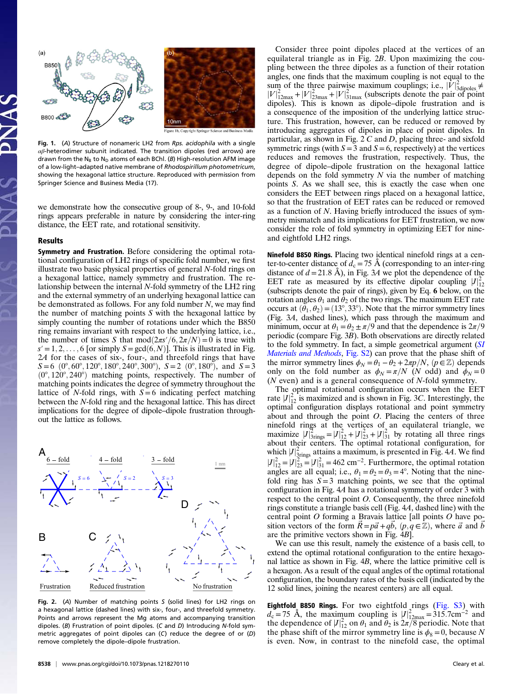

Fig. 1. (A) Structure of nonameric LH2 from Rps. acidophila with a single  $\alpha\beta$ -heterodimer subunit indicated. The transition dipoles (red arrows) are drawn from the N<sub>B</sub> to N<sub>D</sub> atoms of each BChl. (B) High-resolution AFM image of a low-light–adapted native membrane of Rhodospirillum photometricum, showing the hexagonal lattice structure. Reproduced with permission from Springer Science and Business Media (17).

we demonstrate how the consecutive group of 8-, 9-, and 10-fold rings appears preferable in nature by considering the inter-ring distance, the EET rate, and rotational sensitivity.

#### Results

Symmetry and Frustration. Before considering the optimal rotational configuration of LH2 rings of specific fold number, we first illustrate two basic physical properties of general N-fold rings on a hexagonal lattice, namely symmetry and frustration. The relationship between the internal N-fold symmetry of the LH2 ring and the external symmetry of an underlying hexagonal lattice can be demonstrated as follows. For any fold number N, we may find the number of matching points S with the hexagonal lattice by simply counting the number of rotations under which the B850 ring remains invariant with respect to the underlying lattice, i.e., the number of times S that  $mod(2\pi s'/6, 2\pi/N) = 0$  is true with  $s' = 1, 2, \ldots, 6$  [or simply  $S = \gcd(6, N)$ ]. This is illustrated in Fig. 2A for the cases of six-, four-, and threefold rings that have  $S=6$  (0°, 60°, 120°, 180°, 240°, 300°),  $S=2$  (0°, 180°), and  $S=3$  $(0^{\circ}, 120^{\circ}, 240^{\circ})$  matching points, respectively. The number of matching points indicates the degree of symmetry throughout the lattice of N-fold rings, with  $S=6$  indicating perfect matching between the N-fold ring and the hexagonal lattice. This has direct implications for the degree of dipole–dipole frustration throughout the lattice as follows.



Fig. 2. (A) Number of matching points S (solid lines) for LH2 rings on a hexagonal lattice (dashed lines) with six-, four-, and threefold symmetry. Points and arrows represent the Mg atoms and accompanying transition dipoles. (B) Frustration of point dipoles. (C and D) Introducing N-fold symmetric aggregates of point dipoles can (C) reduce the degree of or (D) remove completely the dipole–dipole frustration.

Consider three point dipoles placed at the vertices of an equilateral triangle as in Fig. 2B. Upon maximizing the coupling between the three dipoles as a function of their rotation angles, one finds that the maximum coupling is not equal to the sum of the three pairwise maximum couplings; i.e.,  $|\dot{V}|^2_{\text{3dipoles}} \neq$  $|V|^2_{12\text{max}} + |V|^2_{23\text{max}} + |V|^2_{31\text{max}}$  (subscripts denote the pair of point dipoles). This is known as dipole–dipole frustration and is a consequence of the imposition of the underlying lattice structure. This frustration, however, can be reduced or removed by introducing aggregates of dipoles in place of point dipoles. In particular, as shown in Fig.  $2 C$  and D, placing three- and sixfold symmetric rings (with  $S = 3$  and  $S = 6$ , respectively) at the vertices reduces and removes the frustration, respectively. Thus, the degree of dipole–dipole frustration on the hexagonal lattice depends on the fold symmetry  $N$  via the number of matching points S. As we shall see, this is exactly the case when one considers the EET between rings placed on a hexagonal lattice, so that the frustration of EET rates can be reduced or removed as a function of N. Having briefly introduced the issues of symmetry mismatch and its implications for EET frustration, we now consider the role of fold symmetry in optimizing EET for nineand eightfold LH2 rings.

Ninefold B850 Rings. Placing two identical ninefold rings at a center-to-center distance of  $d_c = 75$  Å (corresponding to an inter-ring distance of  $d=21.8$  Å), in Fig. 3A we plot the dependence of the EET rate as measured by its effective dipolar coupling  $|J|_{12}^2$ (subscripts denote the pair of rings), given by Eq. 6 below, on the rotation angles  $\theta_1$  and  $\theta_2$  of the two rings. The maximum EET rate occurs at  $(\bar{\theta}_1, \theta_2) = (13^\circ, 33^\circ)$ . Note that the mirror symmetry lines (Fig. 3A, dashed lines), which pass through the maximum and minimum, occur at  $\theta_1 = \theta_2 \pm \pi/9$  and that the dependence is  $2\pi/9$ periodic (compare Fig. 3B). Both observations are directly related to the fold symmetry. In fact, a simple geometrical argument ([SI](http://www.pnas.org/lookup/suppl/doi:10.1073/pnas.1218270110/-/DCSupplemental/pnas.201218270SI.pdf?targetid=nameddest=STXT) [Materials and Methods](http://www.pnas.org/lookup/suppl/doi:10.1073/pnas.1218270110/-/DCSupplemental/pnas.201218270SI.pdf?targetid=nameddest=STXT), [Fig. S2](http://www.pnas.org/lookup/suppl/doi:10.1073/pnas.1218270110/-/DCSupplemental/pnas.201218270SI.pdf?targetid=nameddest=SF2)) can prove that the phase shift of the mirror symmetry lines  $\phi_N = \theta_1 - \theta_2 + 2\pi p/N$ ,  $(p \in \mathbb{Z})$  depends only on the fold number as  $\phi_N = \pi/N$  (N odd) and  $\phi_N = 0$  $(N \text{ even})$  and is a general consequence of N-fold symmetry.

The optimal rotational configuration occurs when the EET rate  $|J|_{12}^2$  is maximized and is shown in Fig. 3C. Interestingly, the optimal configuration displays rotational and point symmetry about and through the point  $O$ . Placing the centers of three ninefold rings at the vertices of an equilateral triangle, we maximize  $|J|^2_{\text{3rings}} = |J|^2_{12} + |J|^2_{23} + |J|^2_{31}$  by rotating all three rings about their centers. The optimal rotational configuration, for which  $|J|^2_{\text{Sings}}$  attains a maximum, is presented in Fig. 4A. We find  $|J|_{12}^2 = |J|_{23}^2 = |J|_{31}^2 = 462$  cm<sup>-2</sup>. Furthermore, the optimal rotation angles are all equal; i.e.,  $\theta_1 = \theta_2 = \theta_3 = 4^\circ$ . Noting that the ninefold ring has  $S = 3$  matching points, we see that the optimal configuration in Fig. 4A has a rotational symmetry of order 3 with respect to the central point O. Consequently, the three ninefold rings constitute a triangle basis cell (Fig. 4A, dashed line) with the central point O forming a Bravais lattice [all points O have position vectors of the form  $\vec{R} = p\vec{a} + qb, (p, q \in \mathbb{Z})$ , where  $\vec{a}$  and  $\vec{b}$ are the primitive vectors shown in Fig. 4B].

We can use this result, namely the existence of a basis cell, to extend the optimal rotational configuration to the entire hexagonal lattice as shown in Fig. 4B, where the lattice primitive cell is a hexagon. As a result of the equal angles of the optimal rotational configuration, the boundary rates of the basis cell (indicated by the 12 solid lines, joining the nearest centers) are all equal.

**Eightfold B850 Rings.** For two eightfold rings ([Fig. S3](http://www.pnas.org/lookup/suppl/doi:10.1073/pnas.1218270110/-/DCSupplemental/pnas.201218270SI.pdf?targetid=nameddest=SF3)) with  $d_c = 75$  Å, the maximum coupling is  $|J|_{12\text{max}}^2 = 315.7 \text{cm}^{-2}$  and the dependence of  $|J|_{12}^2$  on  $\theta_1$  and  $\theta_2$  is  $2\pi/8$  periodic. Note that the phase shift of the mirror symmetry line is  $\phi_8 = 0$ , because N is even. Now, in contrast to the ninefold case, the optimal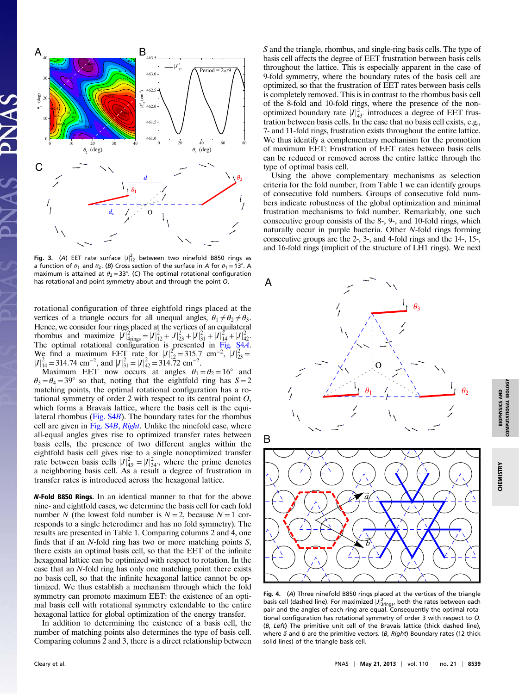

**Fig. 3.** (A) EET rate surface  $|J|_{12}^2$  between two ninefold B850 rings as a function of  $\theta_1$  and  $\theta_2$ . (B) Cross section of the surface in A for  $\theta_1 = 13^\circ$ . A maximum is attained at  $\theta_2 = 33^\circ$ . (C) The optimal rotational configuration has rotational and point symmetry about and through the point  $O$ .  $\mathsf{A}$ 

rotational configuration of three eightfold rings placed at the vertices of a triangle occurs for all unequal angles,  $\theta_1 \neq \theta_2 \neq \theta_3$ . Hence, we consider four rings placed at the vertices of an equilateral rhombus and maximize  $|\tilde{J}|_{\text{4rings}}^2 = |J|_{12}^2 + |J|_{23}^2 + |J|_{31}^2 + |J|_{14}^2 + |J|_{42}^2$ . The optimal rotational configuration is presented in [Fig. S4](http://www.pnas.org/lookup/suppl/doi:10.1073/pnas.1218270110/-/DCSupplemental/pnas.201218270SI.pdf?targetid=nameddest=SF4)A. We find a maximum EET rate for  $|J|_{12}^2 = 315.7$  cm<sup>-2</sup>,  $|J|_{23}^2 =$  $|J|_{14}^{2} = 314.74$  cm<sup>-2</sup>, and  $|J|_{31}^{2} = |J|_{42}^{2} = 314.72$  cm<sup>-2</sup>.

Maximum EET now occurs at angles  $\theta_1 = \theta_2 = 16^\circ$  and  $\theta_3 = \theta_4 = 39^\circ$  so that, noting that the eightfold ring has  $S = 2$ matching points, the optimal rotational configuration has a rotational symmetry of order 2 with respect to its central point O, which forms a Bravais lattice, where the basis cell is the equilateral rhombus [\(Fig. S4](http://www.pnas.org/lookup/suppl/doi:10.1073/pnas.1218270110/-/DCSupplemental/pnas.201218270SI.pdf?targetid=nameddest=SF4)B). The boundary rates for the rhombus cell are given in [Fig. S4](http://www.pnas.org/lookup/suppl/doi:10.1073/pnas.1218270110/-/DCSupplemental/pnas.201218270SI.pdf?targetid=nameddest=SF4)B, Right. Unlike the ninefold case, where all-equal angles gives rise to optimized transfer rates between basis cells, the presence of two different angles within the eightfold basis cell gives rise to a single nonoptimized transfer rate between basis cells  $|J|_{43'}^2 = |J|_{34'}^2$ , where the prime denotes a neighboring basis cell. As a result a degree of frustration in transfer rates is introduced across the hexagonal lattice.

N-Fold B850 Rings. In an identical manner to that for the above nine- and eightfold cases, we determine the basis cell for each fold number N (the lowest fold number is  $N = 2$ , because  $N = 1$  corresponds to a single heterodimer and has no fold symmetry). The results are presented in Table 1. Comparing columns 2 and 4, one finds that if an N-fold ring has two or more matching points S, there exists an optimal basis cell, so that the EET of the infinite hexagonal lattice can be optimized with respect to rotation. In the case that an N-fold ring has only one matching point there exists no basis cell, so that the infinite hexagonal lattice cannot be optimized. We thus establish a mechanism through which the fold symmetry can promote maximum EET: the existence of an optimal basis cell with rotational symmetry extendable to the entire hexagonal lattice for global optimization of the energy transfer.

In addition to determining the existence of a basis cell, the number of matching points also determines the type of basis cell. Comparing columns 2 and 3, there is a direct relationship between

S and the triangle, rhombus, and single-ring basis cells. The type of basis cell affects the degree of EET frustration between basis cells throughout the lattice. This is especially apparent in the case of 9-fold symmetry, where the boundary rates of the basis cell are optimized, so that the frustration of EET rates between basis cells is completely removed. This is in contrast to the rhombus basis cell of the 8-fold and 10-fold rings, where the presence of the nonoptimized boundary rate  $|J|_{43'}^2$  introduces a degree of EET frustration between basis cells. In the case that no basis cell exists, e.g., 7- and 11-fold rings, frustration exists throughout the entire lattice. We thus identify a complementary mechanism for the promotion of maximum EET: Frustration of EET rates between basis cells can be reduced or removed across the entire lattice through the type of optimal basis cell.

Using the above complementary mechanisms as selection criteria for the fold number, from Table 1 we can identify groups of consecutive fold numbers. Groups of consecutive fold numbers indicate robustness of the global optimization and minimal frustration mechanisms to fold number. Remarkably, one such consecutive group consists of the 8-, 9-, and 10-fold rings, which naturally occur in purple bacteria. Other N-fold rings forming consecutive groups are the 2-, 3-, and 4-fold rings and the 14-, 15-, and 16-fold rings (implicit of the structure of LH1 rings). We next



Fig. 4. (A) Three ninefold B850 rings placed at the vertices of the triangle basis cell (dashed line). For maximized  $|J|^2_{\text{Sring}}$ , both the rates between each pair and the angles of each ring are equal. Consequently the optimal rotational configuration has rotational symmetry of order 3 with respect to O. (B, Left) The primitive unit cell of the Bravais lattice (thick dashed line), where  $\vec{a}$  and  $\vec{b}$  are the primitive vectors. (B, Right) Boundary rates (12 thick solid lines) of the triangle basis cell.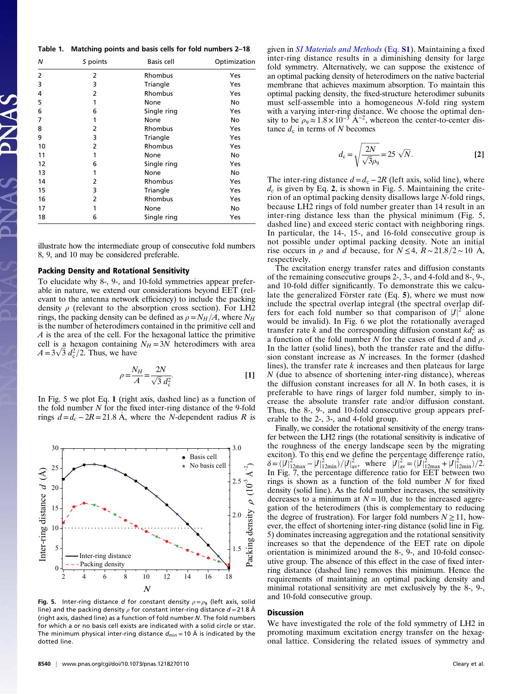|  | Table 1. Matching points and basis cells for fold numbers 2-18 |  |  |  |  |  |  |  |  |  |
|--|----------------------------------------------------------------|--|--|--|--|--|--|--|--|--|
|--|----------------------------------------------------------------|--|--|--|--|--|--|--|--|--|

| N  | S points | <b>Basis cell</b> | Optimization |  |  |
|----|----------|-------------------|--------------|--|--|
| 2  | 2        | Rhombus           | Yes          |  |  |
| 3  | 3        | Triangle          | Yes          |  |  |
| 4  | 2        | Rhombus           | Yes          |  |  |
| 5  | 1        | None              | No           |  |  |
| 6  | 6        | Single ring       | Yes          |  |  |
| 7  | 1        | None              | No           |  |  |
| 8  | 2        | Rhombus           | Yes          |  |  |
| 9  | 3        | Triangle          | Yes          |  |  |
| 10 | 2        | Rhombus           | Yes          |  |  |
| 11 | 1        | None              | No           |  |  |
| 12 | 6        | Single ring       | Yes          |  |  |
| 13 | 1        | None              | No           |  |  |
| 14 | 2        | Rhombus           | Yes          |  |  |
| 15 | 3        | Triangle          | Yes          |  |  |
| 16 | 2        | Rhombus           | Yes          |  |  |
| 17 | 1        | None              | No           |  |  |
| 18 | 6        | Single ring       | Yes          |  |  |

illustrate how the intermediate group of consecutive fold numbers 8, 9, and 10 may be considered preferable.

## Packing Density and Rotational Sensitivity

To elucidate why 8-, 9-, and 10-fold symmetries appear preferable in nature, we extend our considerations beyond EET (relevant to the antenna network efficiency) to include the packing density  $\rho$  (relevant to the absorption cross section). For LH2 rings, the packing density can be defined as  $\rho = N_H/A$ , where  $N_H$ is the number of heterodimers contained in the primitive cell and A is the area of the cell. For the hexagonal lattice the primitive cell is a hexagon containing  $N_H = 3N$  heterodimers with area  $A = 3\sqrt{3} d_c^2/2$ . Thus, we have

$$
\rho = \frac{N_H}{A} = \frac{2N}{\sqrt{3} d_c^2}.
$$
 [1]

In Fig. 5 we plot Eq. 1 (right axis, dashed line) as a function of the fold number  $N$  for the fixed inter-ring distance of the 9-fold rings  $d = d_c - 2R = 21.8$  Å, where the N-dependent radius R is



Fig. 5. Inter-ring distance d for constant density  $\rho = \rho_9$  (left axis, solid line) and the packing density  $\rho$  for constant inter-ring distance  $d = 21.8$  Å (right axis, dashed line) as a function of fold number N. The fold numbers for which a or no basis cell exists are indicated with a solid circle or star. The minimum physical inter-ring distance  $d_{\text{min}} = 10 \text{ Å}$  is indicated by the dotted line.

given in *[SI Materials and Methods](http://www.pnas.org/lookup/suppl/doi:10.1073/pnas.1218270110/-/DCSupplemental/pnas.201218270SI.pdf?targetid=nameddest=STXT)* ([Eq.](http://www.pnas.org/lookup/suppl/doi:10.1073/pnas.1218270110/-/DCSupplemental/pnas.201218270SI.pdf?targetid=nameddest=STXT) **S1**). Maintaining a fixed inter-ring distance results in a diminishing density for large fold symmetry. Alternatively, we can suppose the existence of an optimal packing density of heterodimers on the native bacterial membrane that achieves maximum absorption. To maintain this optimal packing density, the fixed-structure heterodimer subunits must self-assemble into a homogeneous N-fold ring system with a varying inter-ring distance. We choose the optimal density to be  $\rho_9 \approx 1.8 \times 10^{-3}$  Å<sup>-2</sup>, whereon the center-to-center distance  $d_c$  in terms of N becomes

$$
d_{\rm c} = \sqrt{\frac{2N}{\sqrt{3}\rho_9}} = 25 \sqrt{N}.
$$
 [2]

The inter-ring distance  $d = d_c - 2R$  (left axis, solid line), where  $d_c$  is given by Eq. 2, is shown in Fig. 5. Maintaining the criterion of an optimal packing density disallows large N-fold rings, because LH2 rings of fold number greater than 14 result in an inter-ring distance less than the physical minimum (Fig. 5, dashed line) and exceed steric contact with neighboring rings. In particular, the 14-, 15-, and 16-fold consecutive group is not possible under optimal packing density. Note an initial rise occurs in  $\rho$  and d because, for  $N \leq 4$ ,  $R \sim 21.8/2 \sim 10$  Å, respectively.

The excitation energy transfer rates and diffusion constants of the remaining consecutive groups 2-, 3-, and 4-fold and 8-, 9-, and 10-fold differ significantly. To demonstrate this we calculate the generalized Förster rate (Eq. 5), where we must now include the spectral overlap integral (the spectral overlap differs for each fold number so that comparison of  $|J|^2$  alone would be invalid). In Fig. 6 we plot the rotationally averaged transfer rate k and the corresponding diffusion constant  $kd_c^2$  as a function of the fold number N for the cases of fixed d and  $\rho$ . In the latter (solid lines), both the transfer rate and the diffusion constant increase as N increases. In the former (dashed lines), the transfer rate  $k$  increases and then plateaus for large  $N$  (due to absence of shortening inter-ring distance), whereas the diffusion constant increases for all N. In both cases, it is preferable to have rings of larger fold number, simply to increase the absolute transfer rate and/or diffusion constant. Thus, the 8-, 9-, and 10-fold consecutive group appears preferable to the 2-, 3-, and 4-fold group.

Finally, we consider the rotational sensitivity of the energy transfer between the LH2 rings (the rotational sensitivity is indicative of the roughness of the energy landscape seen by the migrating exciton). To this end we define the percentage difference ratio,  $\delta = (\left|J\right|_{12\text{max}}^2 - \left|J\right|_{12\text{min}}^2)/\left|J\right|_{av}^2$ , where  $\left|J\right|_{av}^2 = (\left|J\right|_{12\text{max}}^2 + \left|J\right|_{12\text{min}}^2)/2$ .<br>In Fig. 7, the percentage difference ratio for EET between two rings is shown as a function of the fold number  $N$  for fixed density (solid line). As the fold number increases, the sensitivity decreases to a minimum at  $N = 10$ , due to the increased aggregation of the heterodimers (this is complementary to reducing the degree of frustration). For larger fold numbers  $N \ge 11$ , however, the effect of shortening inter-ring distance (solid line in Fig. 5) dominates increasing aggregation and the rotational sensitivity increases so that the dependence of the EET rate on dipole orientation is minimized around the 8-, 9-, and 10-fold consecutive group. The absence of this effect in the case of fixed interring distance (dashed line) removes this minimum. Hence the requirements of maintaining an optimal packing density and minimal rotational sensitivity are met exclusively by the 8-, 9-, and 10-fold consecutive group.

## Discussion

We have investigated the role of the fold symmetry of LH2 in promoting maximum excitation energy transfer on the hexagonal lattice. Considering the related issues of symmetry and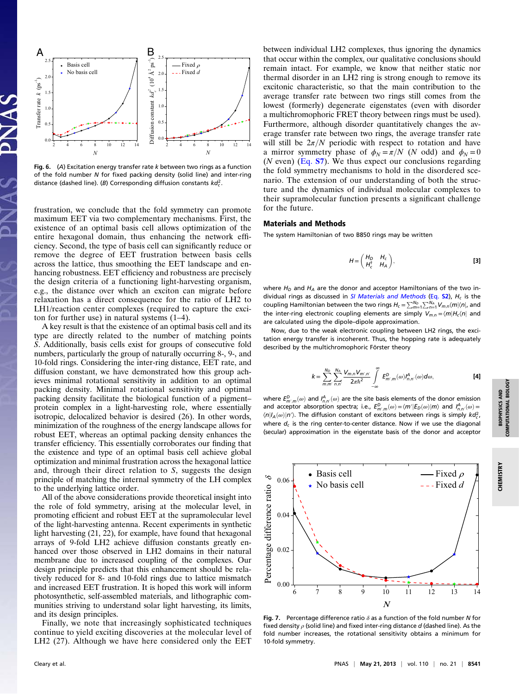

Fig. 6.  $(A)$  Excitation energy transfer rate  $k$  between two rings as a function of the fold number N for fixed packing density (solid line) and inter-ring distance (dashed line). (B) Corresponding diffusion constants  $kd_c^2$ .

frustration, we conclude that the fold symmetry can promote maximum EET via two complementary mechanisms. First, the existence of an optimal basis cell allows optimization of the entire hexagonal domain, thus enhancing the network efficiency. Second, the type of basis cell can significantly reduce or remove the degree of EET frustration between basis cells across the lattice, thus smoothing the EET landscape and enhancing robustness. EET efficiency and robustness are precisely the design criteria of a functioning light-harvesting organism, e.g., the distance over which an exciton can migrate before relaxation has a direct consequence for the ratio of LH2 to LH1/reaction center complexes (required to capture the exciton for further use) in natural systems (1–4).

A key result is that the existence of an optimal basis cell and its type are directly related to the number of matching points S. Additionally, basis cells exist for groups of consecutive fold numbers, particularly the group of naturally occurring 8-, 9-, and 10-fold rings. Considering the inter-ring distance, EET rate, and diffusion constant, we have demonstrated how this group achieves minimal rotational sensitivity in addition to an optimal packing density. Minimal rotational sensitivity and optimal packing density facilitate the biological function of a pigment– protein complex in a light-harvesting role, where essentially isotropic, delocalized behavior is desired (26). In other words, minimization of the roughness of the energy landscape allows for robust EET, whereas an optimal packing density enhances the transfer efficiency. This essentially corroborates our finding that the existence and type of an optimal basis cell achieve global optimization and minimal frustration across the hexagonal lattice and, through their direct relation to S, suggests the design principle of matching the internal symmetry of the LH complex to the underlying lattice order.

All of the above considerations provide theoretical insight into the role of fold symmetry, arising at the molecular level, in promoting efficient and robust EET at the supramolecular level of the light-harvesting antenna. Recent experiments in synthetic light harvesting (21, 22), for example, have found that hexagonal arrays of 9-fold LH2 achieve diffusion constants greatly enhanced over those observed in LH2 domains in their natural membrane due to increased coupling of the complexes. Our design principle predicts that this enhancement should be relatively reduced for 8- and 10-fold rings due to lattice mismatch and increased EET frustration. It is hoped this work will inform photosynthetic, self-assembled materials, and lithographic communities striving to understand solar light harvesting, its limits, and its design principles.

Finally, we note that increasingly sophisticated techniques continue to yield exciting discoveries at the molecular level of LH2 (27). Although we have here considered only the EET

between individual LH2 complexes, thus ignoring the dynamics that occur within the complex, our qualitative conclusions should remain intact. For example, we know that neither static nor thermal disorder in an LH2 ring is strong enough to remove its excitonic characteristic, so that the main contribution to the average transfer rate between two rings still comes from the lowest (formerly) degenerate eigenstates (even with disorder a multichromophoric FRET theory between rings must be used). Furthermore, although disorder quantitatively changes the average transfer rate between two rings, the average transfer rate will still be  $2\pi/N$  periodic with respect to rotation and have a mirror symmetry phase of  $\phi_N = \pi/N$  (N odd) and  $\phi_N = 0$  $(N \text{ even})$  ([Eq.](http://www.pnas.org/lookup/suppl/doi:10.1073/pnas.1218270110/-/DCSupplemental/pnas.201218270SI.pdf?targetid=nameddest=STXT) S7). We thus expect our conclusions regarding the fold symmetry mechanisms to hold in the disordered scenario. The extension of our understanding of both the structure and the dynamics of individual molecular complexes to their supramolecular function presents a significant challenge for the future.

#### Materials and Methods

The system Hamiltonian of two B850 rings may be written

$$
H = \begin{pmatrix} H_D & H_c \\ H_c^{\dagger} & H_A \end{pmatrix},
$$
 [3]

where  $H_D$  and  $H_A$  are the donor and acceptor Hamiltonians of the two in-dividual rings as discussed in [SI Materials and Methods](http://www.pnas.org/lookup/suppl/doi:10.1073/pnas.1218270110/-/DCSupplemental/pnas.201218270SI.pdf?targetid=nameddest=STXT) [\(Eq.](http://www.pnas.org/lookup/suppl/doi:10.1073/pnas.1218270110/-/DCSupplemental/pnas.201218270SI.pdf?targetid=nameddest=STXT)  $S2$ ),  $H_c$  is the coupling Hamiltonian between the two rings  $H_c = \sum_{m=1}^{N_D}\sum_{n=1}^{N_A} V_{m,n}\langle m|\langle n|,$  and the inter-ring electronic coupling elements are simply  $V_{m,n} = \langle m | H_c \langle n |$  and are calculated using the dipole–dipole approximation.

Now, due to the weak electronic coupling between LH2 rings, the excitation energy transfer is incoherent. Thus, the hopping rate is adequately described by the multichromophoric Förster theory

$$
k = \sum_{m,m'}^{N_{0}} \sum_{n,n'}^{N_{A}} \frac{V_{m,n} V_{m',n'}}{2\pi \hbar^{2}} \int_{-\infty}^{\infty} E_{m',m}^{D}(\omega) I_{n,n'}^{A}(\omega) d\omega,
$$
 [4]

where  $E^D_{m',m}(\omega)$  and  $I^A_{n,n'}(\omega)$  are the site basis elements of the donor emission and acceptor absorption spectra; i.e.,  $E^D_{m',m}(\omega) = \langle m'|E_D(\omega)|m\rangle$  and  $I^A_{n,n'}(\omega) =$  $\langle n|I_A(\omega)|n'\rangle$ . The diffusion constant of excitons between rings is simply  $kd_c^2$ , where  $d_c$  is the ring center-to-center distance. Now if we use the diagonal (secular) approximation in the eigenstate basis of the donor and acceptor



Fig. 7. Percentage difference ratio  $\delta$  as a function of the fold number N for fixed density  $\rho$  (solid line) and fixed inter-ring distance d (dashed line). As the fold number increases, the rotational sensitivity obtains a minimum for 10-fold symmetry.